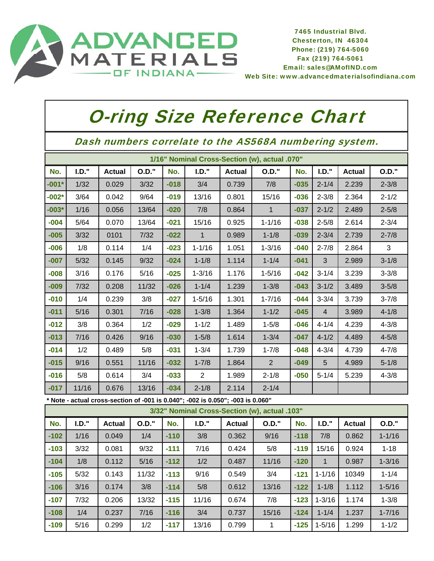

7465 Industrial Blvd. Chesterton, IN 46304 Phone: (219) 764-5060 Fax (219) 764-5061 Email: sales@AMofIND.com ED<br>
MED<br>
Chesterton, IN 46304<br>
Phone: (219) 764-5060<br>
Fax (219) 764-5061<br>
Email: sales@AMofIND.com<br>
Web Site: www.advancedmaterialsofindiana.com

## O-ring Size Reference Chart

Dash numbers correlate to the AS568A numbering system.

|         | 1/16" Nominal Cross-Section (w), actual .070" |               |        |        |              |               |              |        |                |               |              |  |
|---------|-----------------------------------------------|---------------|--------|--------|--------------|---------------|--------------|--------|----------------|---------------|--------------|--|
| No.     | I.D.'                                         | <b>Actual</b> | O.D."  | No.    | I.D.'        | <b>Actual</b> | <b>O.D."</b> | No.    | I.D.'          | <b>Actual</b> | <b>O.D."</b> |  |
| $-001*$ | 1/32                                          | 0.029         | 3/32   | $-018$ | 3/4          | 0.739         | 7/8          | $-035$ | $2 - 1/4$      | 2.239         | $2 - 3/8$    |  |
| $-002*$ | 3/64                                          | 0.042         | 9/64   | $-019$ | 13/16        | 0.801         | 15/16        | $-036$ | $2 - 3/8$      | 2.364         | $2 - 1/2$    |  |
| $-003*$ | 1/16                                          | 0.056         | 13/64  | $-020$ | 7/8          | 0.864         | $\mathbf 1$  | $-037$ | $2 - 1/2$      | 2.489         | $2 - 5/8$    |  |
| $-004$  | 5/64                                          | 0.070         | 13/64  | $-021$ | 15/16        | 0.925         | $1 - 1/16$   | $-038$ | $2 - 5/8$      | 2.614         | $2 - 3/4$    |  |
| $-005$  | 3/32                                          | 0101          | $7/32$ | $-022$ | $\mathbf{1}$ | 0.989         | $1 - 1/8$    | $-039$ | $2 - 3/4$      | 2.739         | $2 - 7/8$    |  |
| $-006$  | 1/8                                           | 0.114         | 1/4    | $-023$ | $1 - 1/16$   | 1.051         | $1 - 3/16$   | $-040$ | $2 - 7/8$      | 2.864         | 3            |  |
| $-007$  | $5/32$                                        | 0.145         | 9/32   | $-024$ | $1 - 1/8$    | 1.114         | $1 - 1/4$    | $-041$ | 3              | 2.989         | $3 - 1/8$    |  |
| $-008$  | 3/16                                          | 0.176         | 5/16   | $-025$ | $1 - 3/16$   | 1.176         | $1 - 5/16$   | $-042$ | $3 - 1/4$      | 3.239         | $3 - 3/8$    |  |
| $-009$  | $7/32$                                        | 0.208         | 11/32  | $-026$ | $1 - 1/4$    | 1.239         | $1 - 3/8$    | $-043$ | $3 - 1/2$      | 3.489         | $3 - 5/8$    |  |
| $-010$  | 1/4                                           | 0.239         | 3/8    | $-027$ | $1 - 5/16$   | 1.301         | $1 - 7/16$   | $-044$ | $3 - 3/4$      | 3.739         | $3 - 7/8$    |  |
| $-011$  | 5/16                                          | 0.301         | 7/16   | $-028$ | $1 - 3/8$    | 1.364         | $1 - 1/2$    | $-045$ | $\overline{4}$ | 3.989         | $4 - 1/8$    |  |
| $-012$  | 3/8                                           | 0.364         | 1/2    | $-029$ | $1 - 1/2$    | 1.489         | $1 - 5/8$    | $-046$ | $4 - 1/4$      | 4.239         | $4 - 3/8$    |  |
| $-013$  | 7/16                                          | 0.426         | 9/16   | $-030$ | $1 - 5/8$    | 1.614         | $1 - 3/4$    | $-047$ | $4 - 1/2$      | 4.489         | $4 - 5/8$    |  |
| $-014$  | 1/2                                           | 0.489         | 5/8    | $-031$ | $1 - 3/4$    | 1.739         | $1 - 7/8$    | $-048$ | $4 - 3/4$      | 4.739         | $4 - 7/8$    |  |
| $-015$  | 9/16                                          | 0.551         | 11/16  | $-032$ | $1 - 7/8$    | 1.864         | 2            | $-049$ | 5              | 4.989         | $5 - 1/8$    |  |
| $-016$  | 5/8                                           | 0.614         | 3/4    | $-033$ | 2            | 1.989         | $2 - 1/8$    | $-050$ | $5 - 1/4$      | 5.239         | $4 - 3/8$    |  |
| $-017$  | 11/16                                         | 0.676         | 13/16  | $-034$ | $2 - 1/8$    | 2.114         | $2 - 1/4$    |        |                |               |              |  |

**\* Note - actual cross-section of -001 is 0.040"; -002 is 0.050"; -003 is 0.060"**

|        | 3/32" Nominal Cross-Section (w), actual .103" |               |              |        |       |               |          |        |            |               |            |  |
|--------|-----------------------------------------------|---------------|--------------|--------|-------|---------------|----------|--------|------------|---------------|------------|--|
| No.    | I.D.'                                         | <b>Actual</b> | <b>O.D."</b> | No.    | I.D.' | <b>Actual</b> | $O.D.$ " | No.    | I.D."      | <b>Actual</b> | O.D."      |  |
| $-102$ | 1/16                                          | 0.049         | 1/4          | $-110$ | 3/8   | 0.362         | 9/16     | $-118$ | 7/8        | 0.862         | $1 - 1/16$ |  |
| $-103$ | 3/32                                          | 0.081         | 9/32         | $-111$ | 7/16  | 0.424         | 5/8      | $-119$ | 15/16      | 0.924         | $1 - 18$   |  |
| $-104$ | 1/8                                           | 0.112         | 5/16         | $-112$ | 1/2   | 0.487         | 11/16    | $-120$ |            | 0.987         | $1 - 3/16$ |  |
| $-105$ | 5/32                                          | 0.143         | 11/32        | $-113$ | 9/16  | 0.549         | 3/4      | $-121$ | $1 - 1/16$ | 10349         | $1 - 1/4$  |  |
| $-106$ | 3/16                                          | 0.174         | 3/8          | $-114$ | 5/8   | 0.612         | 13/16    | $-122$ | $1 - 1/8$  | 1.112         | $1 - 5/16$ |  |
| $-107$ | 7/32                                          | 0.206         | 13/32        | $-115$ | 11/16 | 0.674         | 7/8      | $-123$ | $1 - 3/16$ | 1.174         | $1 - 3/8$  |  |
| $-108$ | 1/4                                           | 0.237         | 7/16         | $-116$ | 3/4   | 0.737         | 15/16    | $-124$ | $1 - 1/4$  | 1.237         | $1 - 7/16$ |  |
| $-109$ | 5/16                                          | 0.299         | 1/2          | $-117$ | 13/16 | 0.799         | 1        | $-125$ | $1 - 5/16$ | 1.299         | $1 - 1/2$  |  |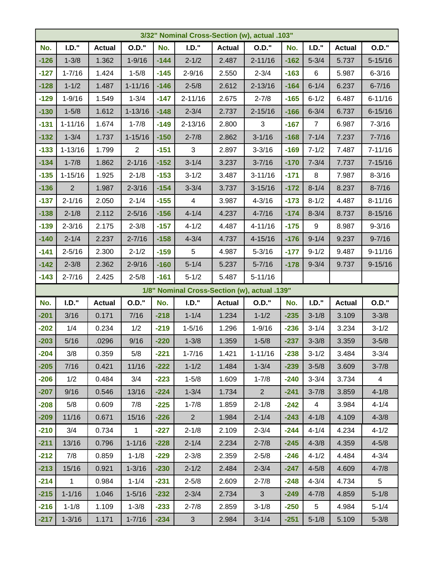|        | 3/32" Nominal Cross-Section (w), actual .103" |               |                |        |                                              |               |              |        |                  |               |                |  |
|--------|-----------------------------------------------|---------------|----------------|--------|----------------------------------------------|---------------|--------------|--------|------------------|---------------|----------------|--|
| No.    | I.D.'                                         | <b>Actual</b> | <b>O.D."</b>   | No.    | I.D.'                                        | <b>Actual</b> | <b>O.D."</b> | No.    | I.D.'            | <b>Actual</b> | <b>O.D."</b>   |  |
| $-126$ | $1 - 3/8$                                     | 1.362         | $1 - 9/16$     | $-144$ | $2 - 1/2$                                    | 2.487         | $2 - 11/16$  | $-162$ | $5 - 3/4$        | 5.737         | $5 - 15/16$    |  |
| $-127$ | $1 - 7/16$                                    | 1.424         | $1 - 5/8$      | $-145$ | $2 - 9/16$                                   | 2.550         | $2 - 3/4$    | $-163$ | $\,6$            | 5.987         | $6 - 3/16$     |  |
| $-128$ | $1 - 1/2$                                     | 1.487         | $1 - 11/16$    | $-146$ | $2 - 5/8$                                    | 2.612         | $2 - 13/16$  | $-164$ | $6 - 1/4$        | 6.237         | $6 - 7/16$     |  |
| $-129$ | $1 - 9/16$                                    | 1.549         | $1 - 3/4$      | $-147$ | $2 - 11/16$                                  | 2.675         | $2 - 7/8$    | $-165$ | $6 - 1/2$        | 6.487         | $6 - 11/16$    |  |
| $-130$ | $1 - 5/8$                                     | 1.612         | $1 - 13/16$    | $-148$ | $2 - 3/4$                                    | 2.737         | $2 - 15/16$  | $-166$ | $6 - 3/4$        | 6.737         | $6 - 15/16$    |  |
| $-131$ | $1 - 11/16$                                   | 1.674         | $1 - 7/8$      | $-149$ | $2 - 13/16$                                  | 2.800         | 3            | $-167$ | $\overline{7}$   | 6.987         | $7 - 3/16$     |  |
| $-132$ | $1 - 3/4$                                     | 1.737         | $1 - 15/16$    | $-150$ | $2 - 7/8$                                    | 2.862         | $3 - 1/16$   | $-168$ | $7 - 1/4$        | 7.237         | $7 - 7/16$     |  |
| $-133$ | $1 - 13/16$                                   | 1.799         | $\overline{2}$ | $-151$ | $\mathfrak{S}$                               | 2.897         | $3 - 3/16$   | $-169$ | $7 - 1/2$        | 7.487         | $7 - 11/16$    |  |
| $-134$ | $1 - 7/8$                                     | 1.862         | $2 - 1/16$     | $-152$ | $3 - 1/4$                                    | 3.237         | $3 - 7/16$   | $-170$ | $7 - 3/4$        | 7.737         | $7 - 15/16$    |  |
| $-135$ | $1 - 15/16$                                   | 1.925         | $2 - 1/8$      | $-153$ | $3 - 1/2$                                    | 3.487         | $3 - 11/16$  | $-171$ | $\bf 8$          | 7.987         | $8 - 3/16$     |  |
| $-136$ | $\overline{2}$                                | 1.987         | $2 - 3/16$     | $-154$ | $3 - 3/4$                                    | 3.737         | $3 - 15/16$  | $-172$ | $8 - 1/4$        | 8.237         | $8 - 7/16$     |  |
| $-137$ | $2 - 1/16$                                    | 2.050         | $2 - 1/4$      | $-155$ | $\overline{\mathbf{4}}$                      | 3.987         | $4 - 3/16$   | $-173$ | $8 - 1/2$        | 4.487         | $8 - 11/16$    |  |
| $-138$ | $2 - 1/8$                                     | 2.112         | $2 - 5/16$     | $-156$ | $4 - 1/4$                                    | 4.237         | $4 - 7/16$   | $-174$ | $8 - 3/4$        | 8.737         | $8 - 15/16$    |  |
| $-139$ | $2 - 3/16$                                    | 2.175         | $2 - 3/8$      | $-157$ | $4 - 1/2$                                    | 4.487         | $4 - 11/16$  | $-175$ | $\boldsymbol{9}$ | 8.987         | $9 - 3/16$     |  |
| $-140$ | $2 - 1/4$                                     | 2.237         | $2 - 7/16$     | $-158$ | $4 - 3/4$                                    | 4.737         | $4 - 15/16$  | $-176$ | $9 - 1/4$        | 9.237         | $9 - 7/16$     |  |
| $-141$ | $2 - 5/16$                                    | 2.300         | $2 - 1/2$      | $-159$ | 5                                            | 4.987         | $5 - 3/16$   | $-177$ | $9 - 1/2$        | 9.487         | $9 - 11/16$    |  |
| $-142$ | $2 - 3/8$                                     | 2.362         | $2 - 9/16$     | $-160$ | $5 - 1/4$                                    | 5.237         | $5 - 7/16$   | $-178$ | $9 - 3/4$        | 9.737         | $9 - 15/16$    |  |
| $-143$ | $2 - 7/16$                                    | 2.425         | $2 - 5/8$      | $-161$ | $5 - 1/2$                                    | 5.487         | $5 - 11/16$  |        |                  |               |                |  |
|        |                                               |               |                |        | 1/8" Nominal Cross-Section (w), actual .139" |               |              |        |                  |               |                |  |
| No.    | $I.D.$ "                                      | <b>Actual</b> | <b>O.D."</b>   | No.    | I.D.'                                        | <b>Actual</b> | <b>O.D."</b> | No.    | I.D.'            | <b>Actual</b> | 0.D."          |  |
| $-201$ | 3/16                                          | 0.171         | 7/16           | $-218$ | $1 - 1/4$                                    | 1.234         | $1 - 1/2$    | $-235$ | $3 - 1/8$        | 3.109         | $3 - 3/8$      |  |
| $-202$ | 1/4                                           | 0.234         | 1/2            | $-219$ | $1 - 5/16$                                   | 1.296         | $1 - 9/16$   | $-236$ | $3 - 1/4$        | 3.234         | $3 - 1/2$      |  |
| $-203$ | 5/16                                          | .0296         | 9/16           | $-220$ | $1 - 3/8$                                    | 1.359         | $1 - 5/8$    | $-237$ | $3 - 3/8$        | 3.359         | $3 - 5/8$      |  |
| $-204$ | 3/8                                           | 0.359         | 5/8            | $-221$ | $1 - 7/16$                                   | 1.421         | $1 - 11/16$  | $-238$ | $3 - 1/2$        | 3.484         | $3 - 3/4$      |  |
| $-205$ | 7/16                                          | 0.421         | 11/16          | $-222$ | $1 - 1/2$                                    | 1.484         | $1 - 3/4$    | $-239$ | $3 - 5/8$        | 3.609         | $3 - 7/8$      |  |
| $-206$ | 1/2                                           | 0.484         | 3/4            | $-223$ | $1 - 5/8$                                    | 1.609         | $1 - 7/8$    | $-240$ | $3 - 3/4$        | 3.734         | $\overline{4}$ |  |
| $-207$ | 9/16                                          | 0.546         | 13/16          | $-224$ | $1 - 3/4$                                    | 1.734         | $2^{\circ}$  | $-241$ | $3 - 7/8$        | 3.859         | $4 - 1/8$      |  |
| $-208$ | 5/8                                           | 0.609         | 7/8            | $-225$ | $1 - 7/8$                                    | 1.859         | $2 - 1/8$    | $-242$ | $\overline{4}$   | 3.984         | $4 - 1/4$      |  |
| $-209$ | 11/16                                         | 0.671         | 15/16          | $-226$ | $2^{\circ}$                                  | 1.984         | $2 - 1/4$    | $-243$ | $4 - 1/8$        | 4.109         | $4 - 3/8$      |  |
| $-210$ | 3/4                                           | 0.734         | $\mathbf{1}$   | $-227$ | $2 - 1/8$                                    | 2.109         | $2 - 3/4$    | $-244$ | $4 - 1/4$        | 4.234         | $4 - 1/2$      |  |
| $-211$ | 13/16                                         | 0.796         | $1 - 1/16$     | $-228$ | $2 - 1/4$                                    | 2.234         | $2 - 7/8$    | $-245$ | $4 - 3/8$        | 4.359         | $4 - 5/8$      |  |
| $-212$ | 7/8                                           | 0.859         | $1 - 1/8$      | $-229$ | $2 - 3/8$                                    | 2.359         | $2 - 5/8$    | $-246$ | $4 - 1/2$        | 4.484         | $4 - 3/4$      |  |
| $-213$ | 15/16                                         | 0.921         | $1 - 3/16$     | $-230$ | $2 - 1/2$                                    | 2.484         | $2 - 3/4$    | $-247$ | $4 - 5/8$        | 4.609         | $4 - 7/8$      |  |
| $-214$ | $\mathbf{1}$                                  | 0.984         | $1 - 1/4$      | $-231$ | $2 - 5/8$                                    | 2.609         | $2 - 7/8$    | $-248$ | $4 - 3/4$        | 4.734         | 5 <sub>5</sub> |  |
| $-215$ | $1 - 1/16$                                    | 1.046         | $1 - 5/16$     | $-232$ | $2 - 3/4$                                    | 2.734         | $\mathbf{3}$ | $-249$ | $4 - 7/8$        | 4.859         | $5 - 1/8$      |  |
| $-216$ | $1 - 1/8$                                     | 1.109         | $1 - 3/8$      | $-233$ | $2 - 7/8$                                    | 2.859         | $3 - 1/8$    | $-250$ | 5                | 4.984         | $5 - 1/4$      |  |
| $-217$ | $1 - 3/16$                                    | 1.171         | $1 - 7/16$     | $-234$ | $\mathbf{3}$                                 | 2.984         | $3 - 1/4$    | $-251$ | $5 - 1/8$        | 5.109         | $5 - 3/8$      |  |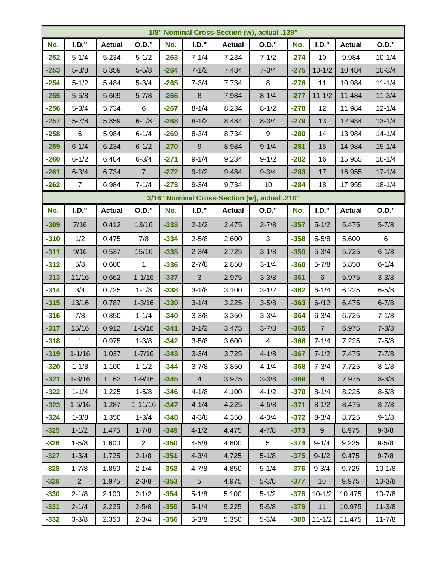| 1/8" Nominal Cross-Section (w), actual .139" |                |               |                |        |                  |               |                                               |        |                |               |              |
|----------------------------------------------|----------------|---------------|----------------|--------|------------------|---------------|-----------------------------------------------|--------|----------------|---------------|--------------|
| No.                                          | $I.D.$ "       | <b>Actual</b> | <b>O.D."</b>   | No.    | I.D.'            | <b>Actual</b> | <b>O.D."</b>                                  | No.    | I.D.'          | <b>Actual</b> | <b>O.D."</b> |
| $-252$                                       | $5 - 1/4$      | 5.234         | $5 - 1/2$      | $-263$ | $7 - 1/4$        | 7.234         | $7 - 1/2$                                     | $-274$ | 10             | 9.984         | $10 - 1/4$   |
| $-253$                                       | $5 - 3/8$      | 5.359         | $5 - 5/8$      | $-264$ | $7 - 1/2$        | 7.484         | $7 - 3/4$                                     | $-275$ | $10 - 1/2$     | 10.484        | $10 - 3/4$   |
| $-254$                                       | $5 - 1/2$      | 5.484         | $5 - 3/4$      | $-265$ | $7 - 3/4$        | 7.734         | 8                                             | $-276$ | 11             | 10.984        | $11 - 1/4$   |
| $-255$                                       | $5 - 5/8$      | 5.609         | $5 - 7/8$      | $-266$ | $\boldsymbol{8}$ | 7.984         | $8 - 1/4$                                     | $-277$ | $11 - 1/2$     | 11.484        | $11 - 3/4$   |
| $-256$                                       | $5 - 3/4$      | 5.734         | $\,6$          | $-267$ | $8 - 1/4$        | 8.234         | $8 - 1/2$                                     | $-278$ | 12             | 11.984        | $12 - 1/4$   |
| $-257$                                       | $5 - 7/8$      | 5.859         | $6 - 1/8$      | $-268$ | $8 - 1/2$        | 8.484         | $8 - 3/4$                                     | $-279$ | 13             | 12.984        | $13 - 1/4$   |
| $-258$                                       | 6              | 5.984         | $6 - 1/4$      | $-269$ | $8 - 3/4$        | 8.734         | $\boldsymbol{9}$                              | $-280$ | 14             | 13.984        | $14 - 1/4$   |
| $-259$                                       | $6 - 1/4$      | 6.234         | $6 - 1/2$      | $-270$ | $\mathsf g$      | 8.984         | $9 - 1/4$                                     | $-281$ | 15             | 14.984        | $15 - 1/4$   |
| $-260$                                       | $6 - 1/2$      | 6.484         | $6 - 3/4$      | $-271$ | $9 - 1/4$        | 9.234         | $9 - 1/2$                                     | $-282$ | 16             | 15.955        | $16 - 1/4$   |
| $-261$                                       | $6 - 3/4$      | 6.734         | $\overline{7}$ | $-272$ | $9 - 1/2$        | 9.484         | $9 - 3/4$                                     | $-283$ | 17             | 16.955        | $17 - 1/4$   |
| $-262$                                       | $\overline{7}$ | 6.984         | $7 - 1/4$      | $-273$ | $9 - 3/4$        | 9.734         | 10                                            | $-284$ | 18             | 17.955        | $18 - 1/4$   |
|                                              |                |               |                |        |                  |               | 3/16" Nominal Cross-Section (w), actual .210" |        |                |               |              |
| No.                                          | $I.D.$ "       | <b>Actual</b> | <b>O.D."</b>   | No.    | $I.D.$ "         | <b>Actual</b> | <b>O.D."</b>                                  | No.    | $I.D.$ "       | <b>Actual</b> | <b>O.D."</b> |
| $-309$                                       | 7/16           | 0.412         | 13/16          | $-333$ | $2 - 1/2$        | 2.475         | $2 - 7/8$                                     | $-357$ | $5 - 1/2$      | 5.475         | $5 - 7/8$    |
| $-310$                                       | 1/2            | 0.475         | 7/8            | $-334$ | $2 - 5/8$        | 2.600         | 3                                             | $-358$ | $5 - 5/8$      | 5.600         | 6            |
| $-311$                                       | 9/16           | 0.537         | 15/16          | $-335$ | $2 - 3/4$        | 2.725         | $3 - 1/8$                                     | $-359$ | $5 - 3/4$      | 5.725         | $6 - 1/8$    |
| $-312$                                       | 5/8            | 0.600         | 1              | $-336$ | $2 - 7/8$        | 2.850         | $3 - 1/4$                                     | $-360$ | $5 - 7/8$      | 5.850         | $6 - 1/4$    |
| $-313$                                       | 11/16          | 0.662         | $1 - 1/16$     | $-337$ | 3                | 2.975         | $3 - 3/8$                                     | $-361$ | $6\phantom{1}$ | 5.975         | $3 - 3/8$    |
| $-314$                                       | 3/4            | 0.725         | $1 - 1/8$      | $-338$ | $3 - 1/8$        | 3.100         | $3 - 1/2$                                     | $-362$ | $6 - 1/4$      | 6.225         | $6 - 5/8$    |
| $-315$                                       | 13/16          | 0.787         | $1 - 3/16$     | $-339$ | $3 - 1/4$        | 3.225         | $3 - 5/8$                                     | $-363$ | $6 - 12$       | 6.475         | $6 - 7/8$    |
| $-316$                                       | 7/8            | 0.850         | $1 - 1/4$      | $-340$ | $3 - 3/8$        | 3.350         | $3 - 3/4$                                     | $-364$ | $6 - 3/4$      | 6.725         | $7 - 1/8$    |
| $-317$                                       | 15/16          | 0.912         | $1 - 5/16$     | $-341$ | $3 - 1/2$        | 3.475         | $3 - 7/8$                                     | $-365$ | $\overline{7}$ | 6.975         | $7 - 3/8$    |
| $-318$                                       | $\mathbf 1$    | 0.975         | $1 - 3/8$      | $-342$ | $3 - 5/8$        | 3.600         | $\overline{4}$                                | $-366$ | $7 - 1/4$      | 7.225         | $7 - 5/8$    |
| $-319$                                       | $1 - 1/16$     | 1.037         | $1 - 7/16$     | $-343$ | $3 - 3/4$        | 3.725         | $4 - 1/8$                                     | $-367$ | $7 - 1/2$      | 7.475         | $7 - 7/8$    |
| $-320$                                       | $1 - 1/8$      | 1.100         | $1 - 1/2$      | $-344$ | $3 - 7/8$        | 3.850         | $4 - 1/4$                                     | $-368$ | $7 - 3/4$      | 7.725         | $8 - 1/8$    |
| $-321$                                       | $1 - 3/16$     | 1.162         | $1 - 9/16$     | $-345$ | 4                | 3.975         | $3 - 3/8$                                     | $-369$ | 8              | 7.975         | $8 - 3/8$    |
| $-322$                                       | $1 - 1/4$      | 1.225         | $1 - 5/8$      | $-346$ | $4 - 1/8$        | 4.100         | $4 - 1/2$                                     | $-370$ | $8 - 1/4$      | 8.225         | $8 - 5/8$    |
| $-323$                                       | $1 - 5/16$     | 1.287         | $1 - 11/16$    | $-347$ | $4 - 1/4$        | 4.225         | $4 - 5/8$                                     | $-371$ | $8 - 1/2$      | 8.475         | $8 - 7/8$    |
| $-324$                                       | $1 - 3/8$      | 1.350         | $1 - 3/4$      | $-348$ | $4 - 3/8$        | 4.350         | $4 - 3/4$                                     | $-372$ | $8 - 3/4$      | 8.725         | $9 - 1/8$    |
| $-325$                                       | $1 - 1/2$      | 1.475         | $1 - 7/8$      | $-349$ | $4 - 1/2$        | 4.475         | $4 - 7/8$                                     | $-373$ | 9              | 8.975         | $9 - 3/8$    |
| $-326$                                       | $1 - 5/8$      | 1.600         | $\overline{2}$ | $-350$ | $4 - 5/8$        | 4.600         | 5 <sup>5</sup>                                | $-374$ | $9 - 1/4$      | 9.225         | $9 - 5/8$    |
| $-327$                                       | $1 - 3/4$      | 1.725         | $2 - 1/8$      | $-351$ | $4 - 3/4$        | 4.725         | $5 - 1/8$                                     | $-375$ | $9 - 1/2$      | 9.475         | $9 - 7/8$    |
| $-328$                                       | $1 - 7/8$      | 1.850         | $2 - 1/4$      | $-352$ | $4 - 7/8$        | 4.850         | $5 - 1/4$                                     | $-376$ | $9 - 3/4$      | 9.725         | $10 - 1/8$   |
| $-329$                                       | 2 <sup>7</sup> | 1.975         | $2 - 3/8$      | $-353$ | 5 <sup>5</sup>   | 4.975         | $5 - 3/8$                                     | $-377$ | 10             | 9.975         | $10 - 3/8$   |
| $-330$                                       | $2 - 1/8$      | 2.100         | $2 - 1/2$      | $-354$ | $5 - 1/8$        | 5.100         | $5 - 1/2$                                     | $-378$ | $10 - 1/2$     | 10.475        | $10 - 7/8$   |
| $-331$                                       | $2 - 1/4$      | 2.225         | $2 - 5/8$      | $-355$ | $5 - 1/4$        | 5.225         | $5 - 5/8$                                     | $-379$ | 11             | 10.975        | $11 - 3/8$   |
| $-332$                                       | $3 - 3/8$      | 2.350         | $2 - 3/4$      | $-356$ | $5 - 3/8$        | 5.350         | $5 - 3/4$                                     |        | $-380$ 11-1/2  | 11.475        | $11 - 7/8$   |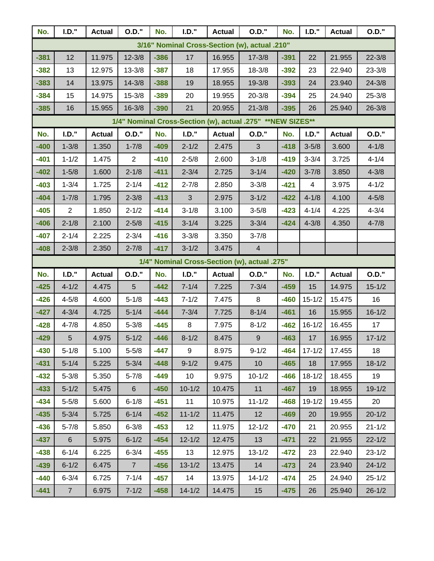| No.                                          | I.D.'                                         | <b>Actual</b> | <b>O.D."</b>   | No.    | I.D.'           | <b>Actual</b> | <b>O.D."</b>                                                | No.    | I.D.'          | <b>Actual</b> | <b>O.D."</b> |  |
|----------------------------------------------|-----------------------------------------------|---------------|----------------|--------|-----------------|---------------|-------------------------------------------------------------|--------|----------------|---------------|--------------|--|
|                                              | 3/16" Nominal Cross-Section (w), actual .210" |               |                |        |                 |               |                                                             |        |                |               |              |  |
| $-381$                                       | 12                                            | 11.975        | $12 - 3/8$     | $-386$ | 17              | 16.955        | $17 - 3/8$                                                  | $-391$ | 22             | 21.955        | $22 - 3/8$   |  |
| $-382$                                       | 13                                            | 12.975        | $13 - 3/8$     | $-387$ | 18              | 17.955        | $18 - 3/8$                                                  | $-392$ | 23             | 22.940        | $23 - 3/8$   |  |
| $-383$                                       | 14                                            | 13.975        | $14 - 3/8$     | $-388$ | 19              | 18.955        | $19 - 3/8$                                                  | $-393$ | 24             | 23.940        | $24 - 3/8$   |  |
| $-384$                                       | 15                                            | 14.975        | $15 - 3/8$     | $-389$ | 20              | 19.955        | $20 - 3/8$                                                  | $-394$ | 25             | 24.940        | $25 - 3/8$   |  |
| $-385$                                       | 16                                            | 15.955        | $16 - 3/8$     | $-390$ | 21              | 20.955        | $21 - 3/8$                                                  | $-395$ | 26             | 25.940        | $26 - 3/8$   |  |
|                                              |                                               |               |                |        |                 |               | 1/4" Nominal Cross-Section (w), actual .275" ** NEW SIZES** |        |                |               |              |  |
| No.                                          | I.D.'                                         | <b>Actual</b> | <b>O.D."</b>   | No.    | I.D.'           | <b>Actual</b> | <b>O.D."</b>                                                | No.    | I.D.'          | <b>Actual</b> | <b>O.D."</b> |  |
| $-400$                                       | $1 - 3/8$                                     | 1.350         | $1 - 7/8$      | $-409$ | $2 - 1/2$       | 2.475         | $\mathbf{3}$                                                | $-418$ | $3 - 5/8$      | 3.600         | $4 - 1/8$    |  |
| $-401$                                       | $1 - 1/2$                                     | 1.475         | $\overline{2}$ | $-410$ | $2 - 5/8$       | 2.600         | $3 - 1/8$                                                   | $-419$ | $3 - 3/4$      | 3.725         | $4 - 1/4$    |  |
| $-402$                                       | $1 - 5/8$                                     | 1.600         | $2 - 1/8$      | $-411$ | $2 - 3/4$       | 2.725         | $3 - 1/4$                                                   | $-420$ | $3 - 7/8$      | 3.850         | $4 - 3/8$    |  |
| $-403$                                       | $1 - 3/4$                                     | 1.725         | $2 - 1/4$      | $-412$ | $2 - 7/8$       | 2.850         | $3 - 3/8$                                                   | $-421$ | $\overline{4}$ | 3.975         | $4 - 1/2$    |  |
| $-404$                                       | $1 - 7/8$                                     | 1.795         | $2 - 3/8$      | $-413$ | $\mathbf{3}$    | 2.975         | $3 - 1/2$                                                   | $-422$ | $4 - 1/8$      | 4.100         | $4 - 5/8$    |  |
| $-405$                                       | $\overline{2}$                                | 1.850         | $2 - 1/2$      | $-414$ | $3 - 1/8$       | 3.100         | $3 - 5/8$                                                   | $-423$ | $4 - 1/4$      | 4.225         | $4 - 3/4$    |  |
| $-406$                                       | $2 - 1/8$                                     | 2.100         | $2 - 5/8$      | $-415$ | $3 - 1/4$       | 3.225         | $3 - 3/4$                                                   | $-424$ | $4 - 3/8$      | 4.350         | $4 - 7/8$    |  |
| $-407$                                       | $2 - 1/4$                                     | 2.225         | $2 - 3/4$      | $-416$ | $3 - 3/8$       | 3.350         | $3 - 7/8$                                                   |        |                |               |              |  |
| $-408$                                       | $2 - 3/8$                                     | 2.350         | $2 - 7/8$      | $-417$ | $3 - 1/2$       | 3.475         | $\overline{4}$                                              |        |                |               |              |  |
| 1/4" Nominal Cross-Section (w), actual .275" |                                               |               |                |        |                 |               |                                                             |        |                |               |              |  |
| No.                                          | I.D.'                                         | <b>Actual</b> | <b>O.D."</b>   | No.    | I.D.'           | <b>Actual</b> | <b>O.D."</b>                                                | No.    | I.D.'          | <b>Actual</b> | <b>O.D."</b> |  |
| $-425$                                       | $4 - 1/2$                                     | 4.475         | 5              | $-442$ | $7 - 1/4$       | 7.225         | $7 - 3/4$                                                   | $-459$ | 15             | 14.975        | $15 - 1/2$   |  |
| $-426$                                       | $4 - 5/8$                                     | 4.600         | $5 - 1/8$      | $-443$ | $7 - 1/2$       | 7.475         | 8                                                           | $-460$ | $15 - 1/2$     | 15.475        | 16           |  |
| $-427$                                       | $4 - 3/4$                                     | 4.725         | $5 - 1/4$      | $-444$ | $7 - 3/4$       | 7.725         | $8 - 1/4$                                                   | $-461$ | 16             | 15.955        | $16 - 1/2$   |  |
| $-428$                                       | $4 - 7/8$                                     | 4.850         | $5 - 3/8$      | $-445$ | $\, 8$          | 7.975         | $8 - 1/2$                                                   | $-462$ | $16 - 1/2$     | 16.455        | 17           |  |
| $-429$                                       | 5                                             | 4.975         | $5 - 1/2$      | $-446$ | $8 - 1/2$       | 8.475         | $\boldsymbol{9}$                                            | $-463$ | 17             | 16.955        | $17 - 1/2$   |  |
| $-430$                                       | $5 - 1/8$                                     | 5.100         | $5 - 5/8$      | $-447$ | 9               | 8.975         | $9 - 1/2$                                                   | $-464$ | $17 - 1/2$     | 17.455        | 18           |  |
| $-431$                                       | $5 - 1/4$                                     | 5.225         | $5 - 3/4$      | $-448$ | $9 - 1/2$       | 9.475         | 10                                                          | $-465$ | 18             | 17.955        | $18 - 1/2$   |  |
| $-432$                                       | $5 - 3/8$                                     | 5.350         | $5 - 7/8$      | $-449$ | 10 <sup>°</sup> | 9.975         | $10 - 1/2$                                                  | $-466$ | $18 - 1/2$     | 18.455        | 19           |  |
| $-433$                                       | $5 - 1/2$                                     | 5.475         | $6\phantom{.}$ | $-450$ | $10 - 1/2$      | 10.475        | 11                                                          | $-467$ | 19             | 18.955        | $19 - 1/2$   |  |
| $-434$                                       | $5 - 5/8$                                     | 5.600         | $6 - 1/8$      | $-451$ | 11              | 10.975        | $11 - 1/2$                                                  | $-468$ | $19 - 1/2$     | 19.455        | 20           |  |
| $-435$                                       | $5 - 3/4$                                     | 5.725         | $6 - 1/4$      | $-452$ | $11 - 1/2$      | 11.475        | 12                                                          | $-469$ | 20             | 19.955        | $20 - 1/2$   |  |
| $-436$                                       | $5 - 7/8$                                     | 5.850         | $6 - 3/8$      | $-453$ | 12              | 11.975        | $12 - 1/2$                                                  | $-470$ | 21             | 20.955        | $21 - 1/2$   |  |
| $-437$                                       | 6 <sup>1</sup>                                | 5.975         | $6 - 1/2$      | $-454$ | $12 - 1/2$      | 12.475        | 13                                                          | $-471$ | 22             | 21.955        | $22 - 1/2$   |  |
| $-438$                                       | $6 - 1/4$                                     | 6.225         | $6 - 3/4$      | $-455$ | 13              | 12.975        | $13 - 1/2$                                                  | $-472$ | 23             | 22.940        | $23 - 1/2$   |  |
| $-439$                                       | $6 - 1/2$                                     | 6.475         | $\overline{7}$ | $-456$ | $13 - 1/2$      | 13.475        | 14                                                          | $-473$ | 24             | 23.940        | $24 - 1/2$   |  |
| $-440$                                       | $6 - 3/4$                                     | 6.725         | $7 - 1/4$      | $-457$ | 14              | 13.975        | $14 - 1/2$                                                  | $-474$ | 25             | 24.940        | $25 - 1/2$   |  |
| $-441$                                       | 7 <sup>7</sup>                                | 6.975         | $7 - 1/2$      | $-458$ | $14 - 1/2$      | 14.475        | 15                                                          | $-475$ | 26             | 25.940        | $26 - 1/2$   |  |